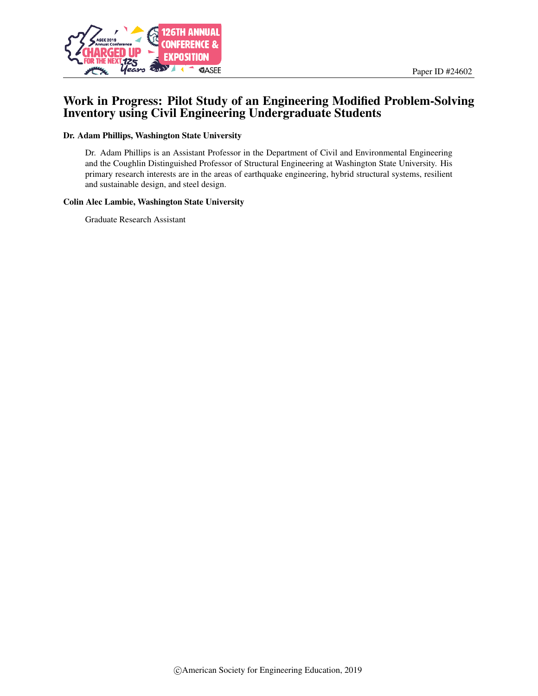

## Work in Progress: Pilot Study of an Engineering Modified Problem-Solving Inventory using Civil Engineering Undergraduate Students

#### Dr. Adam Phillips, Washington State University

Dr. Adam Phillips is an Assistant Professor in the Department of Civil and Environmental Engineering and the Coughlin Distinguished Professor of Structural Engineering at Washington State University. His primary research interests are in the areas of earthquake engineering, hybrid structural systems, resilient and sustainable design, and steel design.

#### Colin Alec Lambie, Washington State University

Graduate Research Assistant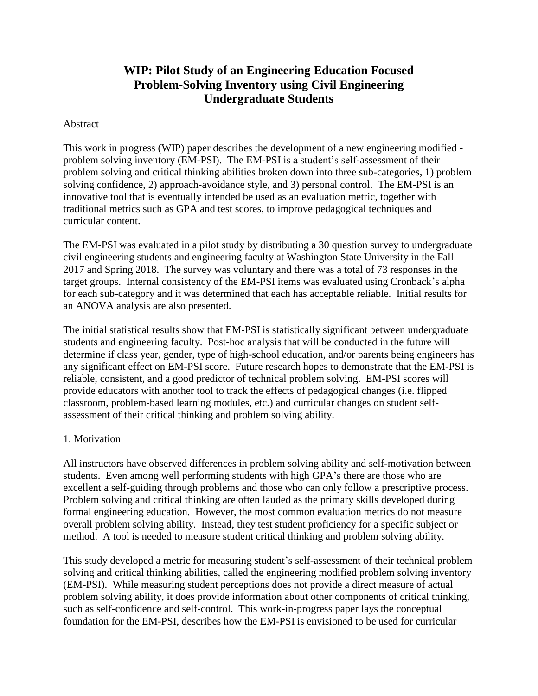# **WIP: Pilot Study of an Engineering Education Focused Problem-Solving Inventory using Civil Engineering Undergraduate Students**

### Abstract

This work in progress (WIP) paper describes the development of a new engineering modified problem solving inventory (EM-PSI). The EM-PSI is a student's self-assessment of their problem solving and critical thinking abilities broken down into three sub-categories, 1) problem solving confidence, 2) approach-avoidance style, and 3) personal control. The EM-PSI is an innovative tool that is eventually intended be used as an evaluation metric, together with traditional metrics such as GPA and test scores, to improve pedagogical techniques and curricular content.

The EM-PSI was evaluated in a pilot study by distributing a 30 question survey to undergraduate civil engineering students and engineering faculty at Washington State University in the Fall 2017 and Spring 2018. The survey was voluntary and there was a total of 73 responses in the target groups. Internal consistency of the EM-PSI items was evaluated using Cronback's alpha for each sub-category and it was determined that each has acceptable reliable. Initial results for an ANOVA analysis are also presented.

The initial statistical results show that EM-PSI is statistically significant between undergraduate students and engineering faculty. Post-hoc analysis that will be conducted in the future will determine if class year, gender, type of high-school education, and/or parents being engineers has any significant effect on EM-PSI score. Future research hopes to demonstrate that the EM-PSI is reliable, consistent, and a good predictor of technical problem solving. EM-PSI scores will provide educators with another tool to track the effects of pedagogical changes (i.e. flipped classroom, problem-based learning modules, etc.) and curricular changes on student selfassessment of their critical thinking and problem solving ability.

### 1. Motivation

All instructors have observed differences in problem solving ability and self-motivation between students. Even among well performing students with high GPA's there are those who are excellent a self-guiding through problems and those who can only follow a prescriptive process. Problem solving and critical thinking are often lauded as the primary skills developed during formal engineering education. However, the most common evaluation metrics do not measure overall problem solving ability. Instead, they test student proficiency for a specific subject or method. A tool is needed to measure student critical thinking and problem solving ability.

This study developed a metric for measuring student's self-assessment of their technical problem solving and critical thinking abilities, called the engineering modified problem solving inventory (EM-PSI). While measuring student perceptions does not provide a direct measure of actual problem solving ability, it does provide information about other components of critical thinking, such as self-confidence and self-control. This work-in-progress paper lays the conceptual foundation for the EM-PSI, describes how the EM-PSI is envisioned to be used for curricular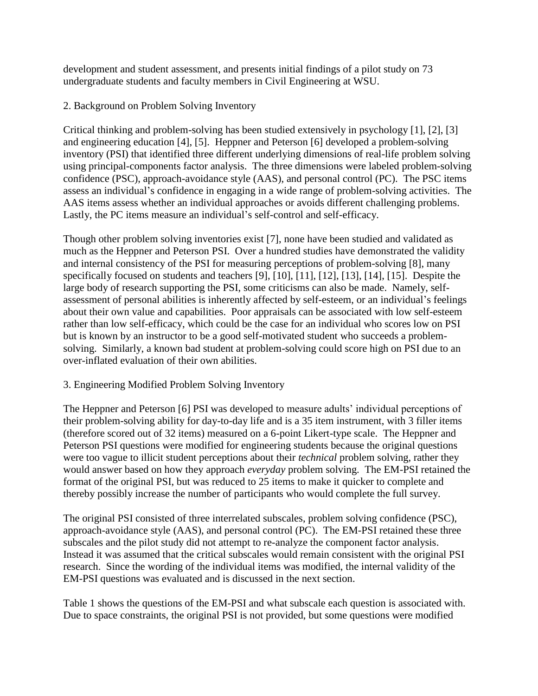development and student assessment, and presents initial findings of a pilot study on 73 undergraduate students and faculty members in Civil Engineering at WSU.

## 2. Background on Problem Solving Inventory

Critical thinking and problem-solving has been studied extensively in psychology [1], [2], [3] and engineering education [4], [5]. Heppner and Peterson [6] developed a problem-solving inventory (PSI) that identified three different underlying dimensions of real-life problem solving using principal-components factor analysis. The three dimensions were labeled problem-solving confidence (PSC), approach-avoidance style (AAS), and personal control (PC). The PSC items assess an individual's confidence in engaging in a wide range of problem-solving activities. The AAS items assess whether an individual approaches or avoids different challenging problems. Lastly, the PC items measure an individual's self-control and self-efficacy.

Though other problem solving inventories exist [7], none have been studied and validated as much as the Heppner and Peterson PSI. Over a hundred studies have demonstrated the validity and internal consistency of the PSI for measuring perceptions of problem-solving [8], many specifically focused on students and teachers [9], [10], [11], [12], [13], [14], [15]. Despite the large body of research supporting the PSI, some criticisms can also be made. Namely, selfassessment of personal abilities is inherently affected by self-esteem, or an individual's feelings about their own value and capabilities. Poor appraisals can be associated with low self-esteem rather than low self-efficacy, which could be the case for an individual who scores low on PSI but is known by an instructor to be a good self-motivated student who succeeds a problemsolving. Similarly, a known bad student at problem-solving could score high on PSI due to an over-inflated evaluation of their own abilities.

## 3. Engineering Modified Problem Solving Inventory

The Heppner and Peterson [6] PSI was developed to measure adults' individual perceptions of their problem-solving ability for day-to-day life and is a 35 item instrument, with 3 filler items (therefore scored out of 32 items) measured on a 6-point Likert-type scale. The Heppner and Peterson PSI questions were modified for engineering students because the original questions were too vague to illicit student perceptions about their *technical* problem solving, rather they would answer based on how they approach *everyday* problem solving. The EM-PSI retained the format of the original PSI, but was reduced to 25 items to make it quicker to complete and thereby possibly increase the number of participants who would complete the full survey.

The original PSI consisted of three interrelated subscales, problem solving confidence (PSC), approach-avoidance style (AAS), and personal control (PC). The EM-PSI retained these three subscales and the pilot study did not attempt to re-analyze the component factor analysis. Instead it was assumed that the critical subscales would remain consistent with the original PSI research. Since the wording of the individual items was modified, the internal validity of the EM-PSI questions was evaluated and is discussed in the next section.

Table 1 shows the questions of the EM-PSI and what subscale each question is associated with. Due to space constraints, the original PSI is not provided, but some questions were modified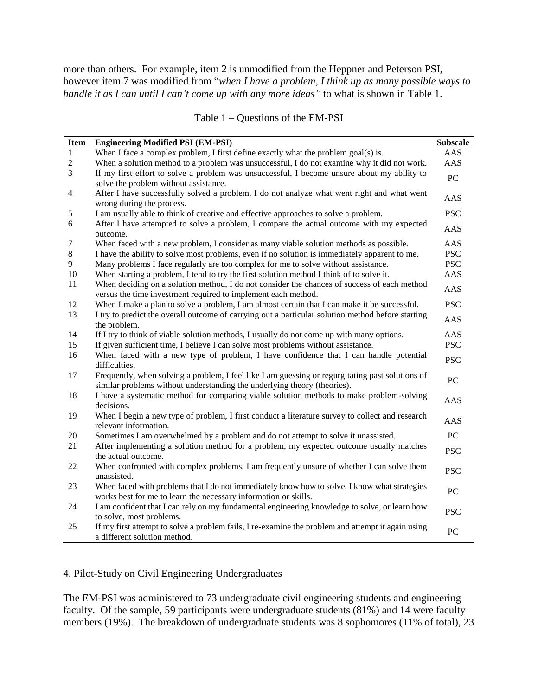more than others. For example, item 2 is unmodified from the Heppner and Peterson PSI, however item 7 was modified from "*when I have a problem, I think up as many possible ways to handle it as I can until I can't come up with any more ideas"* to what is shown in Table 1.

| <b>Item</b>    | <b>Engineering Modified PSI (EM-PSI)</b>                                                                                                                                     | <b>Subscale</b>  |
|----------------|------------------------------------------------------------------------------------------------------------------------------------------------------------------------------|------------------|
| 1              | When I face a complex problem, I first define exactly what the problem goal(s) is.                                                                                           | AAS              |
| $\sqrt{2}$     | When a solution method to a problem was unsuccessful, I do not examine why it did not work.                                                                                  | AAS              |
| 3              | If my first effort to solve a problem was unsuccessful, I become unsure about my ability to<br>solve the problem without assistance.                                         | ${\rm P}{\bf C}$ |
| $\overline{4}$ | After I have successfully solved a problem, I do not analyze what went right and what went<br>wrong during the process.                                                      | AAS              |
| $\sqrt{5}$     | I am usually able to think of creative and effective approaches to solve a problem.                                                                                          | <b>PSC</b>       |
| 6              | After I have attempted to solve a problem, I compare the actual outcome with my expected<br>outcome.                                                                         | AAS              |
| 7              | When faced with a new problem, I consider as many viable solution methods as possible.                                                                                       | AAS              |
| $\,8\,$        | I have the ability to solve most problems, even if no solution is immediately apparent to me.                                                                                | <b>PSC</b>       |
| $\overline{9}$ | Many problems I face regularly are too complex for me to solve without assistance.                                                                                           | <b>PSC</b>       |
| 10             | When starting a problem, I tend to try the first solution method I think of to solve it.                                                                                     | AAS              |
| 11             | When deciding on a solution method, I do not consider the chances of success of each method<br>versus the time investment required to implement each method.                 | AAS              |
| 12             | When I make a plan to solve a problem, I am almost certain that I can make it be successful.                                                                                 | <b>PSC</b>       |
| 13             | I try to predict the overall outcome of carrying out a particular solution method before starting<br>the problem.                                                            | AAS              |
| 14             | If I try to think of viable solution methods, I usually do not come up with many options.                                                                                    | <b>AAS</b>       |
| 15             | If given sufficient time, I believe I can solve most problems without assistance.                                                                                            | <b>PSC</b>       |
| 16             | When faced with a new type of problem, I have confidence that I can handle potential<br>difficulties.                                                                        | <b>PSC</b>       |
| 17             | Frequently, when solving a problem, I feel like I am guessing or regurgitating past solutions of<br>similar problems without understanding the underlying theory (theories). | ${\rm P}{\bf C}$ |
| 18             | I have a systematic method for comparing viable solution methods to make problem-solving<br>decisions.                                                                       | <b>AAS</b>       |
| 19             | When I begin a new type of problem, I first conduct a literature survey to collect and research<br>relevant information.                                                     | <b>AAS</b>       |
| 20             | Sometimes I am overwhelmed by a problem and do not attempt to solve it unassisted.                                                                                           | ${\rm P}{\bf C}$ |
| 21             | After implementing a solution method for a problem, my expected outcome usually matches<br>the actual outcome.                                                               | <b>PSC</b>       |
| 22             | When confronted with complex problems, I am frequently unsure of whether I can solve them<br>unassisted.                                                                     | <b>PSC</b>       |
| 23             | When faced with problems that I do not immediately know how to solve, I know what strategies<br>works best for me to learn the necessary information or skills.              | PC               |
| 24             | I am confident that I can rely on my fundamental engineering knowledge to solve, or learn how<br>to solve, most problems.                                                    | <b>PSC</b>       |
| 25             | If my first attempt to solve a problem fails, I re-examine the problem and attempt it again using<br>a different solution method.                                            | PC               |

4. Pilot-Study on Civil Engineering Undergraduates

The EM-PSI was administered to 73 undergraduate civil engineering students and engineering faculty. Of the sample, 59 participants were undergraduate students (81%) and 14 were faculty members (19%). The breakdown of undergraduate students was 8 sophomores (11% of total), 23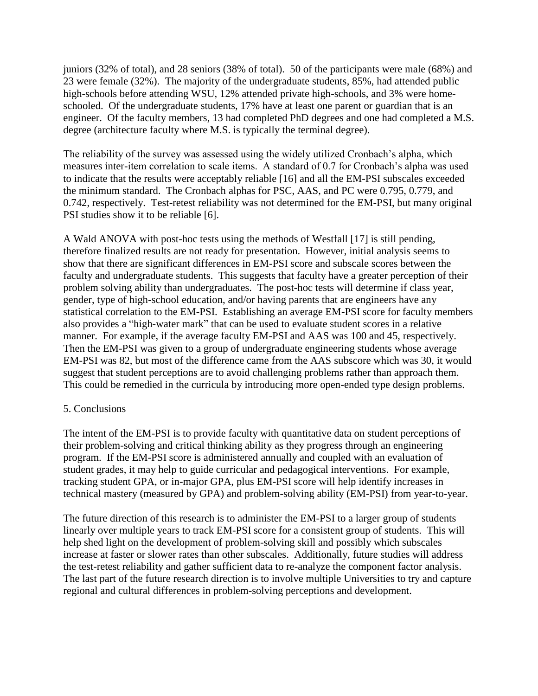juniors (32% of total), and 28 seniors (38% of total). 50 of the participants were male (68%) and 23 were female (32%). The majority of the undergraduate students, 85%, had attended public high-schools before attending WSU, 12% attended private high-schools, and 3% were homeschooled. Of the undergraduate students, 17% have at least one parent or guardian that is an engineer. Of the faculty members, 13 had completed PhD degrees and one had completed a M.S. degree (architecture faculty where M.S. is typically the terminal degree).

The reliability of the survey was assessed using the widely utilized Cronbach's alpha, which measures inter-item correlation to scale items. A standard of 0.7 for Cronbach's alpha was used to indicate that the results were acceptably reliable [16] and all the EM-PSI subscales exceeded the minimum standard. The Cronbach alphas for PSC, AAS, and PC were 0.795, 0.779, and 0.742, respectively. Test-retest reliability was not determined for the EM-PSI, but many original PSI studies show it to be reliable [6].

A Wald ANOVA with post-hoc tests using the methods of Westfall [17] is still pending, therefore finalized results are not ready for presentation. However, initial analysis seems to show that there are significant differences in EM-PSI score and subscale scores between the faculty and undergraduate students. This suggests that faculty have a greater perception of their problem solving ability than undergraduates. The post-hoc tests will determine if class year, gender, type of high-school education, and/or having parents that are engineers have any statistical correlation to the EM-PSI. Establishing an average EM-PSI score for faculty members also provides a "high-water mark" that can be used to evaluate student scores in a relative manner. For example, if the average faculty EM-PSI and AAS was 100 and 45, respectively. Then the EM-PSI was given to a group of undergraduate engineering students whose average EM-PSI was 82, but most of the difference came from the AAS subscore which was 30, it would suggest that student perceptions are to avoid challenging problems rather than approach them. This could be remedied in the curricula by introducing more open-ended type design problems.

### 5. Conclusions

The intent of the EM-PSI is to provide faculty with quantitative data on student perceptions of their problem-solving and critical thinking ability as they progress through an engineering program. If the EM-PSI score is administered annually and coupled with an evaluation of student grades, it may help to guide curricular and pedagogical interventions. For example, tracking student GPA, or in-major GPA, plus EM-PSI score will help identify increases in technical mastery (measured by GPA) and problem-solving ability (EM-PSI) from year-to-year.

The future direction of this research is to administer the EM-PSI to a larger group of students linearly over multiple years to track EM-PSI score for a consistent group of students. This will help shed light on the development of problem-solving skill and possibly which subscales increase at faster or slower rates than other subscales. Additionally, future studies will address the test-retest reliability and gather sufficient data to re-analyze the component factor analysis. The last part of the future research direction is to involve multiple Universities to try and capture regional and cultural differences in problem-solving perceptions and development.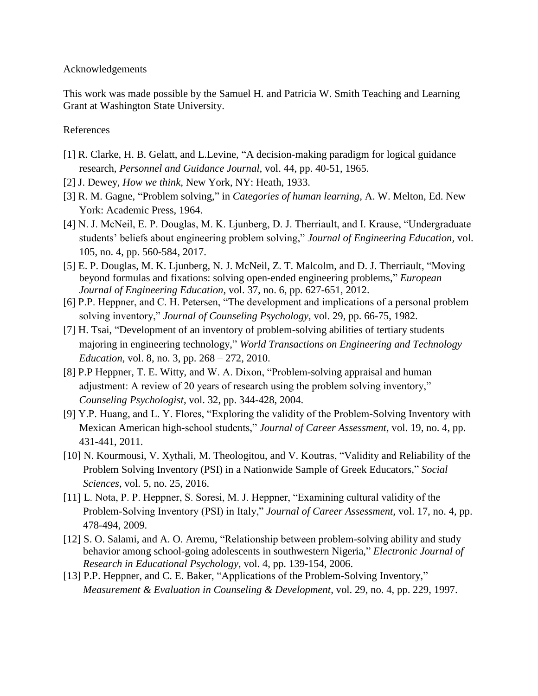#### Acknowledgements

This work was made possible by the Samuel H. and Patricia W. Smith Teaching and Learning Grant at Washington State University.

### References

- [1] R. Clarke, H. B. Gelatt, and L.Levine, "A decision-making paradigm for logical guidance research, *Personnel and Guidance Journal,* vol. 44, pp. 40-51, 1965.
- [2] J. Dewey, *How we think,* New York, NY: Heath, 1933.
- [3] R. M. Gagne, "Problem solving," in *Categories of human learning,* A. W. Melton, Ed. New York: Academic Press, 1964.
- [4] N. J. McNeil, E. P. Douglas, M. K. Ljunberg, D. J. Therriault, and I. Krause, "Undergraduate students' beliefs about engineering problem solving," *Journal of Engineering Education,* vol. 105, no. 4, pp. 560-584, 2017.
- [5] E. P. Douglas, M. K. Ljunberg, N. J. McNeil, Z. T. Malcolm, and D. J. Therriault, "Moving beyond formulas and fixations: solving open-ended engineering problems," *European Journal of Engineering Education*, vol. 37, no. 6, pp. 627-651, 2012.
- [6] P.P. Heppner, and C. H. Petersen, "The development and implications of a personal problem solving inventory," *Journal of Counseling Psychology,* vol. 29, pp. 66-75, 1982.
- [7] H. Tsai, "Development of an inventory of problem-solving abilities of tertiary students majoring in engineering technology," *World Transactions on Engineering and Technology Education,* vol. 8, no. 3, pp. 268 – 272, 2010.
- [8] P.P Heppner, T. E. Witty, and W. A. Dixon, "Problem-solving appraisal and human adjustment: A review of 20 years of research using the problem solving inventory," *Counseling Psychologist*, vol. 32, pp. 344-428, 2004.
- [9] Y.P. Huang, and L. Y. Flores, "Exploring the validity of the Problem-Solving Inventory with Mexican American high-school students," *Journal of Career Assessment,* vol. 19, no. 4, pp. 431-441, 2011.
- [10] N. Kourmousi, V. Xythali, M. Theologitou, and V. Koutras, "Validity and Reliability of the Problem Solving Inventory (PSI) in a Nationwide Sample of Greek Educators," *Social Sciences*, vol. 5, no. 25, 2016.
- [11] L. Nota, P. P. Heppner, S. Soresi, M. J. Heppner, "Examining cultural validity of the Problem-Solving Inventory (PSI) in Italy," *Journal of Career Assessment,* vol. 17, no. 4, pp. 478-494, 2009.
- [12] S. O. Salami, and A. O. Aremu, "Relationship between problem-solving ability and study behavior among school-going adolescents in southwestern Nigeria," *Electronic Journal of Research in Educational Psychology*, vol. 4, pp. 139-154, 2006.
- [13] P.P. Heppner, and C. E. Baker, "Applications of the Problem-Solving Inventory," *Measurement & Evaluation in Counseling & Development*, vol. 29, no. 4, pp. 229, 1997.